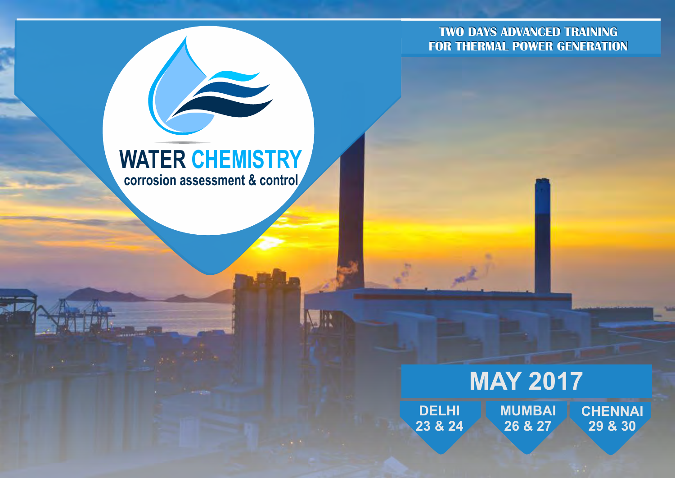**TWO DAYS ADVANCED TRAINING FOR THERMAL POWER GENERATION**

# **WATER CHEMISTRY corrosion assessment & control**

# **MAY 2017**

**DELHI 23 & 24 MUMBAI 26 & 27 CHENNAI 29 & 30**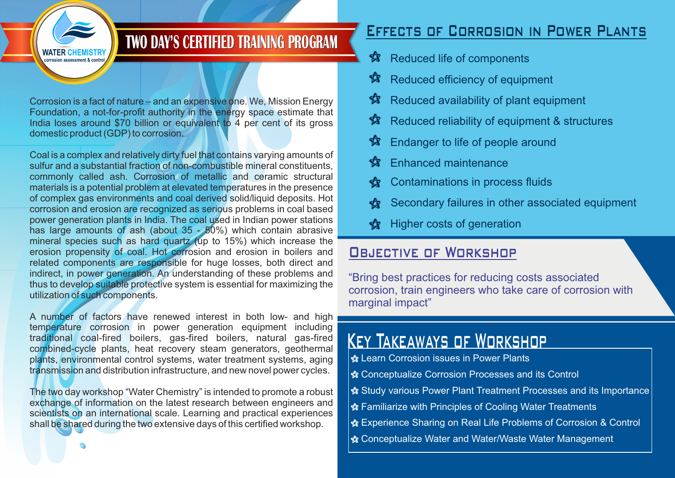

# **TWO DAY'S CERTIFIED TRAINING PROGRAM**

Corrosion is a fact of nature – and an expensive one. We, Mission Energy Foundation, a not-for-profit authority in the energy space estimate that India loses around \$70 billion or equivalent to 4 per cent of its gross domestic product (GDP) to corrosion.

Coal is a complex and relatively dirty fuel that contains varying amounts of sulfur and a substantial fraction of non-combustible mineral constituents, commonly called ash. Corrosion of metallic and ceramic structural materials is a potential problem at elevated temperatures in the presence of complex gas environments and coal derived solid/liquid deposits. Hot corrosion and erosion are recognized as serious problems in coal based power generation plants in India. The coal used in Indian power stations has large amounts of ash (about 35 - 50%) which contain abrasive mineral species such as hard quartz (up to 15%) which increase the erosion propensity of coal. Hot corrosion and erosion in boilers and related components are responsible for huge losses, both direct and indirect, in power generation. An understanding of these problems and thus to develop suitable protective system is essential for maximizing the utilization of such components.

A number of factors have renewed interest in both low- and high temperature corrosion in power generation equipment including traditional coal-fired boilers, gas-fired boilers, natural gas-fired combined-cycle plants, heat recovery steam generators, geothermal plants, environmental control systems, water treatment systems, aging transmission and distribution infrastructure, and new novel power cycles.

The two day workshop "Water Chemistry" is intended to promote a robust exchange of information on the latest research between engineers and scientists on an international scale. Learning and practical experiences shall be shared during the two extensive days of this certified workshop.

# Effects of Corrosion in Power Plants

- Reduced life of components  $\hat{\mathbf{x}}$
- Reduced efficiency of equipment **K**
- Reduced availability of plant equipment 纺
- Reduced reliability of equipment & structures **A**
- Endanger to life of people around **A**
- Enhanced maintenance 纺
- Contaminations in process fluids **A**
- Secondary failures in other associated equipment **KT**
- Higher costs of generation **K**

# **OBJECTIVE OF WORKSHOP**

"Bring best practices for reducing costs associated corrosion, train engineers who take care of corrosion with marginal impact"

# Key Takeaways of Workshop

- Learn Corrosion issues in Power Plants a
- Conceptualize Corrosion Processes and its Control a
- Study various Power Plant Treatment Processes and its Importance a
- Familiarize with Principles of Cooling Water Treatments a
- **索** Experience Sharing on Real Life Problems of Corrosion & Control
- **☆ Conceptualize Water and Water/Waste Water Management**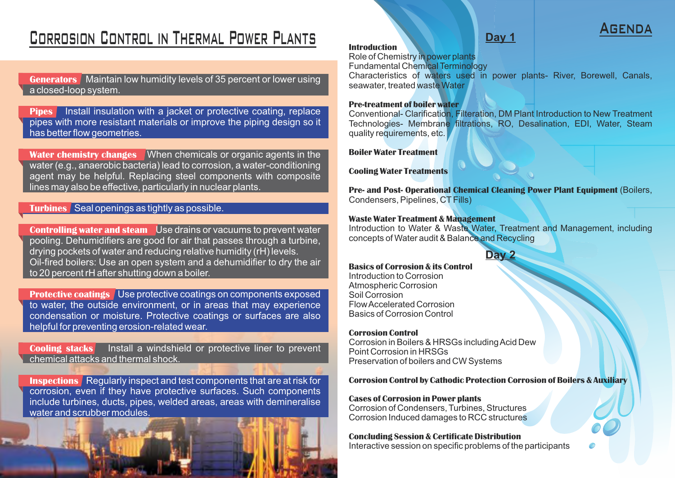# Corrosion Control in Thermal Power Plants

**Generators** Maintain low humidity levels of 35 percent or lower using a closed-loop system.

**Pipes** Install insulation with a jacket or protective coating, replace pipes with more resistant materials or improve the piping design so it has better flow geometries.

**Water chemistry changes** When chemicals or organic agents in the water (e.g., anaerobic bacteria) lead to corrosion, a water-conditioning agent may be helpful. Replacing steel components with composite lines may also be effective, particularly in nuclear plants.

#### **Turbines** Seal openings as tightly as possible.

**Controlling water and steam** Use drains or vacuums to prevent water pooling. Dehumidifiers are good for air that passes through a turbine, drying pockets of water and reducing relative humidity (rH) levels. Oil-fired boilers: Use an open system and a dehumidifier to dry the air to 20 percent rH after shutting down a boiler.

**Protective coatings** Use protective coatings on components exposed to water, the outside environment, or in areas that may experience condensation or moisture. Protective coatings or surfaces are also helpful for preventing erosion-related wear.

**Cooling stacks** Install a windshield or protective liner to prevent chemical attacks and thermal shock.

**Inspections** Regularly inspect and test components that are at risk for corrosion, even if they have protective surfaces. Such components include turbines, ducts, pipes, welded areas, areas with demineralise water and scrubber modules.



#### **Introduction**

Role of Chemistry in power plants

Fundamental Chemical Terminology

Characteristics of waters used in power plants- River, Borewell, Canals, seawater, treated waste Water

#### **Pre-treatment of boiler water**

Conventional- Clarification, Filteration, DM Plant Introduction to New Treatment Technologies- Membrane filtrations, RO, Desalination, EDI, Water, Steam quality requirements, etc.

**Boiler Water Treatment**

**Cooling Water Treatments**

**Pre- and Post- Operational Chemical Cleaning Power Plant Equipment** (Boilers, Condensers, Pipelines, CT Fills)

#### **Waste Water Treatment & Management**

Introduction to Water & Waste Water, Treatment and Management, including concepts of Water audit & Balance and Recycling



#### **Basics of Corrosion & its Control**

Introduction to Corrosion Atmospheric Corrosion Soil Corrosion Flow Accelerated Corrosion Basics of Corrosion Control

#### **Corrosion Control**

Corrosion in Boilers & HRSGs including Acid Dew Point Corrosion in HRSGs Preservation of boilers and CW Systems

#### **Corrosion Control by Cathodic Protection Corrosion of Boilers & Auxiliary**

#### **Cases of Corrosion in Power plants**

Corrosion of Condensers, Turbines, Structures Corrosion Induced damages to RCC structures

#### **Concluding Session & Certificate Distribution**

Interactive session on specific problems of the participants

# Day 1 **AGEND**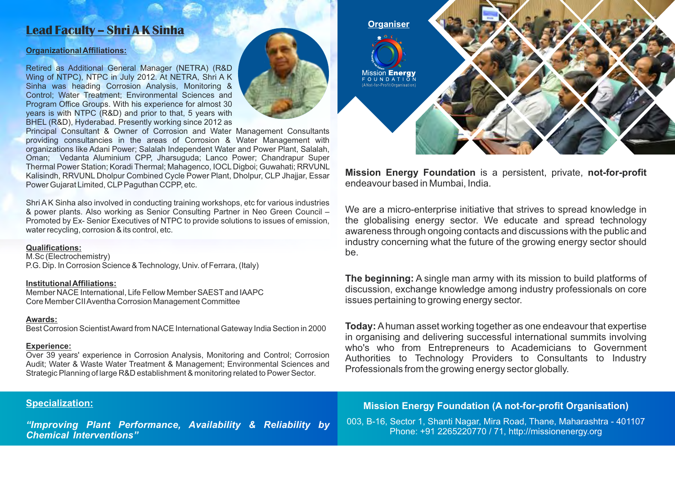## **Lead Faculty – Shri A K Sinha**

#### **Organizational Affiliations:**

Retired as Additional General Manager (NETRA) (R&D Wing of NTPC), NTPC in July 2012. At NETRA, Shri A K Sinha was heading Corrosion Analysis, Monitoring & Control; Water Treatment; Environmental Sciences and Program Office Groups. With his experience for almost 30 years is with NTPC (R&D) and prior to that, 5 years with BHEL (R&D), Hyderabad. Presently working since 2012 as



Shri AK Sinha also involved in conducting training workshops, etc for various industries & power plants. Also working as Senior Consulting Partner in Neo Green Council – Promoted by Ex- Senior Executives of NTPC to provide solutions to issues of emission, water recycling, corrosion & its control, etc.

#### **Qualifications:**

M.Sc (Electrochemistry) P.G. Dip. In Corrosion Science & Technology, Univ. of Ferrara, (Italy)

#### **Institutional Affiliations:**

Member NACE International, Life Fellow Member SAESTand IAAPC Core Member CII Aventha Corrosion Management Committee

#### **Awards:**

Best Corrosion Scientist Award from NACE International Gateway India Section in 2000

#### **Experience:**

Over 39 years' experience in Corrosion Analysis, Monitoring and Control; Corrosion Audit; Water & Waste Water Treatment & Management; Environmental Sciences and Strategic Planning of large R&D establishment & monitoring related to Power Sector.

# **Organiser lission <b>Energy**<br>○ ∪ N D A T I O N

**Mission Energy Foundation** is a persistent, private, **not-for-profit** endeavour based in Mumbai, India.

We are a micro-enterprise initiative that strives to spread knowledge in the globalising energy sector. We educate and spread technology awareness through ongoing contacts and discussions with the public and industry concerning what the future of the growing energy sector should be.

**The beginning:** A single man army with its mission to build platforms of discussion, exchange knowledge among industry professionals on core issues pertaining to growing energy sector.

**Today:** Ahuman asset working together as one endeavour that expertise in organising and delivering successful international summits involving who's who from Entrepreneurs to Academicians to Government Authorities to Technology Providers to Consultants to Industry Professionals from the growing energy sector globally.

#### **Specialization:**

*"Improving Plant Performance, Availability & Reliability by Chemical Interventions"*

#### **Mission Energy Foundation (A not-for-profit Organisation)**

003, B-16, Sector 1, Shanti Nagar, Mira Road, Thane, Maharashtra - 401107 Phone: +91 2265220770 / 71, http://missionenergy.org